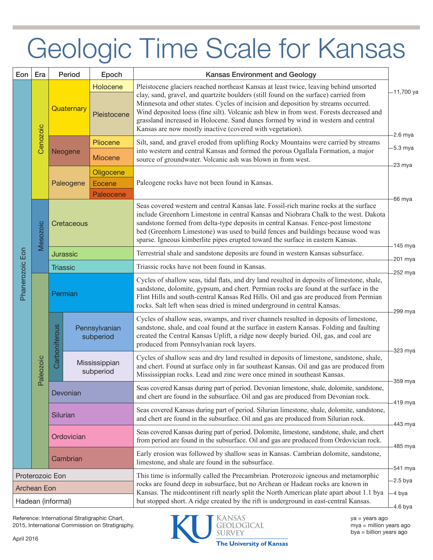## Geologic Time Scale for Kansas

| Eon               | Era                  | Period                                |                                | Epoch                            | <b>Kansas Environment and Geology</b>                                                                                                                                                                                                                                                                                                                                                                                                                                                                            |                          |  |
|-------------------|----------------------|---------------------------------------|--------------------------------|----------------------------------|------------------------------------------------------------------------------------------------------------------------------------------------------------------------------------------------------------------------------------------------------------------------------------------------------------------------------------------------------------------------------------------------------------------------------------------------------------------------------------------------------------------|--------------------------|--|
| Phanerozoic Eon   | Cenozoic             | Holocene<br>Quaternary<br>Pleistocene |                                |                                  | Pleistocene glaciers reached northeast Kansas at least twice, leaving behind unsorted<br>clay, sand, gravel, and quartzite boulders (still found on the surface) carried from<br>Minnesota and other states. Cycles of incision and deposition by streams occurred.<br>Wind deposited loess (fine silt). Volcanic ash blew in from west. Forests decreased and<br>grassland increased in Holocene. Sand dunes formed by wind in western and central<br>Kansas are now mostly inactive (covered with vegetation). | -11,700 ya<br>$-2.6$ mya |  |
|                   |                      |                                       | Pliocene<br>Neogene<br>Miocene |                                  | Silt, sand, and gravel eroded from uplifting Rocky Mountains were carried by streams<br>into western and central Kansas and formed the porous Ogallala Formation, a major<br>source of groundwater. Volcanic ash was blown in from west.                                                                                                                                                                                                                                                                         | -5.3 mya                 |  |
|                   |                      | Paleogene                             |                                | Oligocene<br>Eocene<br>Paleocene | Paleogene rocks have not been found in Kansas.                                                                                                                                                                                                                                                                                                                                                                                                                                                                   | 23 mya                   |  |
|                   | Mesozoic             | Cretaceous                            |                                |                                  | Seas covered western and central Kansas late. Fossil-rich marine rocks at the surface<br>include Greenhorn Limestone in central Kansas and Niobrara Chalk to the west. Dakota<br>sandstone formed from delta-type deposits in central Kansas. Fence-post limestone<br>bed (Greenhorn Limestone) was used to build fences and buildings because wood was<br>sparse. Igneous kimberlite pipes erupted toward the surface in eastern Kansas.                                                                        | -66 mya                  |  |
|                   |                      | <b>Jurassic</b>                       |                                |                                  | Terrestrial shale and sandstone deposits are found in western Kansas subsurface.                                                                                                                                                                                                                                                                                                                                                                                                                                 | 145 mya<br>-201 mya      |  |
|                   |                      | Triassic                              |                                |                                  | Triassic rocks have not been found in Kansas.                                                                                                                                                                                                                                                                                                                                                                                                                                                                    | -252 mya                 |  |
|                   | aleozoic<br><u>ட</u> | Permian                               |                                |                                  | Cycles of shallow seas, tidal flats, and dry land resulted in deposits of limestone, shale,<br>sandstone, dolomite, gypsum, and chert. Permian rocks are found at the surface in the<br>Flint Hills and south-central Kansas Red Hills. Oil and gas are produced from Permian<br>rocks. Salt left when seas dried is mined underground in central Kansas.                                                                                                                                                        |                          |  |
|                   |                      | Carboniferous                         |                                | Pennsylvanian<br>subperiod       | Cycles of shallow seas, swamps, and river channels resulted in deposits of limestone,<br>sandstone, shale, and coal found at the surface in eastern Kansas. Folding and faulting<br>created the Central Kansas Uplift, a ridge now deeply buried. Oil, gas, and coal are<br>produced from Pennsylvanian rock layers.                                                                                                                                                                                             | 299 mya                  |  |
|                   |                      |                                       | Mississippian<br>subperiod     |                                  | Cycles of shallow seas and dry land resulted in deposits of limestone, sandstone, shale,<br>and chert. Found at surface only in far southeast Kansas. Oil and gas are produced from<br>Mississippian rocks. Lead and zinc were once mined in southeast Kansas.                                                                                                                                                                                                                                                   | 323 mya                  |  |
|                   |                      | Devonian                              |                                |                                  | Seas covered Kansas during part of period. Devonian limestone, shale, dolomite, sandstone,<br>and chert are found in the subsurface. Oil and gas are produced from Devonian rock.                                                                                                                                                                                                                                                                                                                                | 359 mya                  |  |
|                   |                      | Silurian                              |                                |                                  | Seas covered Kansas during part of period. Silurian limestone, shale, dolomite, sandstone,<br>and chert are found in the subsurface. Oil and gas are produced from Silurian rock.                                                                                                                                                                                                                                                                                                                                | -419 mya                 |  |
|                   |                      | Ordovician                            |                                |                                  | Seas covered Kansas during part of period. Dolomite, limestone, sandstone, shale, and chert<br>from period are found in the subsurface. Oil and gas are produced from Ordovician rock.                                                                                                                                                                                                                                                                                                                           | 443 mya                  |  |
|                   |                      | Cambrian                              |                                |                                  | Early erosion was followed by shallow seas in Kansas. Cambrian dolomite, sandstone,<br>limestone, and shale are found in the subsurface.                                                                                                                                                                                                                                                                                                                                                                         | 485 mya                  |  |
| Proterozoic Eon   |                      |                                       |                                |                                  | This time is informally called the Precambrian. Proterozoic igneous and metamorphic<br>rocks are found deep in subsurface, but no Archean or Hadean rocks are known in<br>Kansas. The midcontinent rift nearly split the North American plate apart about 1.1 bya                                                                                                                                                                                                                                                | -541 mya<br>$-2.5$ bya   |  |
| Archean Eon       |                      |                                       |                                |                                  |                                                                                                                                                                                                                                                                                                                                                                                                                                                                                                                  | -4 bya                   |  |
| Hadean (informal) |                      |                                       |                                |                                  | but stopped short. A ridge created by the rift is underground in east-central Kansas.                                                                                                                                                                                                                                                                                                                                                                                                                            | $-4.6$ bya               |  |

Reference: International Stratigraphic Chart, 2015, International Commission on Stratigraphy.



ansas **GEOLOGICAL**